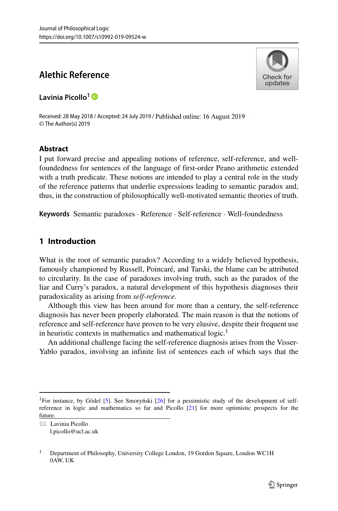# **Alethic Reference**

**Lavinia Picollo<sup>1</sup>**

Received: 28 May 2018 / Accepted: 24 July 2019 / Published online: 16 August 2019 © The Author(s) 2019

# **Abstract**

I put forward precise and appealing notions of reference, self-reference, and wellfoundedness for sentences of the language of first-order Peano arithmetic extended with a truth predicate. These notions are intended to play a central role in the study of the reference patterns that underlie expressions leading to semantic paradox and, thus, in the construction of philosophically well-motivated semantic theories of truth.

**Keywords** Semantic paradoxes · Reference · Self-reference · Well-foundedness

# **1 Introduction**

What is the root of semantic paradox? According to a widely believed hypothesis, famously championed by Russell, Poincaré, and Tarski, the blame can be attributed to circularity. In the case of paradoxes involving truth, such as the paradox of the liar and Curry's paradox, a natural development of this hypothesis diagnoses their paradoxicality as arising from *self-reference.*

Although this view has been around for more than a century, the self-reference diagnosis has never been properly elaborated. The main reason is that the notions of reference and self-reference have proven to be very elusive, despite their frequent use in heuristic contexts in mathematics and mathematical logic. $<sup>1</sup>$ </sup>

An additional challenge facing the self-reference diagnosis arises from the Visser-Yablo paradox, involving an infinite list of sentences each of which says that the

- Lavinia Picollo [l.picollo@ucl.ac.uk](mailto: l.picollo@ucl.ac.uk)



<span id="page-0-0"></span><sup>&</sup>lt;sup>1</sup>For instance, by Gödel [[5\]](#page-20-0). See Smoryński [[26\]](#page-21-0) for a pessimistic study of the development of selfreference in logic and mathematics so far and Picollo [\[21\]](#page-20-1) for more optimistic prospects for the future.

<sup>&</sup>lt;sup>1</sup> Department of Philosophy, University College London, 19 Gordon Square, London WC1H 0AW, UK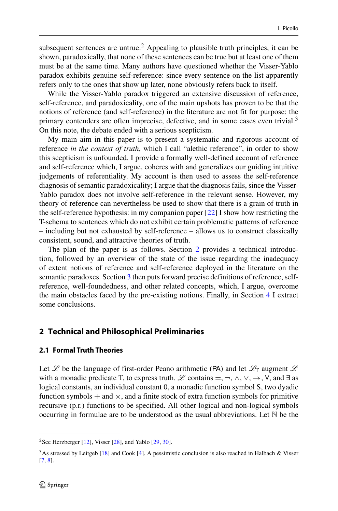subsequent sentences are untrue.<sup>[2](#page-1-0)</sup> Appealing to plausible truth principles, it can be shown, paradoxically, that none of these sentences can be true but at least one of them must be at the same time. Many authors have questioned whether the Visser-Yablo paradox exhibits genuine self-reference: since every sentence on the list apparently refers only to the ones that show up later, none obviously refers back to itself.

While the Visser-Yablo paradox triggered an extensive discussion of reference, self-reference, and paradoxicality, one of the main upshots has proven to be that the notions of reference (and self-reference) in the literature are not fit for purpose: the primary contenders are often imprecise, defective, and in some cases even trivial.<sup>[3](#page-1-1)</sup> On this note, the debate ended with a serious scepticism.

My main aim in this paper is to present a systematic and rigorous account of reference *in the context of truth*, which I call "alethic reference", in order to show this scepticism is unfounded. I provide a formally well-defined account of reference and self-reference which, I argue, coheres with and generalizes our guiding intuitive judgements of referentiality. My account is then used to assess the self-reference diagnosis of semantic paradoxicality; I argue that the diagnosis fails, since the Visser-Yablo paradox does not involve self-reference in the relevant sense. However, my theory of reference can nevertheless be used to show that there is a grain of truth in the self-reference hypothesis: in my companion paper [\[22\]](#page-21-1) I show how restricting the T-schema to sentences which do not exhibit certain problematic patterns of reference – including but not exhausted by self-reference – allows us to construct classically consistent, sound, and attractive theories of truth.

The plan of the paper is as follows. Section [2](#page-1-2) provides a technical introduction, followed by an overview of the state of the issue regarding the inadequacy of extent notions of reference and self-reference deployed in the literature on the semantic paradoxes. Section [3](#page-6-0) then puts forward precise definitions of reference, selfreference, well-foundedness, and other related concepts, which, I argue, overcome the main obstacles faced by the pre-existing notions. Finally, in Section [4](#page-19-0) I extract some conclusions.

## <span id="page-1-2"></span>**2 Technical and Philosophical Preliminaries**

#### **2.1 Formal Truth Theories**

Let  $\mathscr L$  be the language of first-order Peano arithmetic (PA) and let  $\mathscr L_T$  augment  $\mathscr L$ with a monadic predicate T, to express truth. Let contains  $=$ ,  $\neg$ ,  $\wedge$ ,  $\vee$ ,  $\rightarrow$ ,  $\neg$ ,  $\wedge$ , and  $\exists$  as logical constants, an individual constant 0, a monadic function symbol S, two dyadic function symbols  $+$  and  $\times$ , and a finite stock of extra function symbols for primitive recursive (p.r.) functions to be specified. All other logical and non-logical symbols occurring in formulae are to be understood as the usual abbreviations. Let  $\mathbb N$  be the

<sup>&</sup>lt;sup>2</sup>See Herzberger [\[12\]](#page-20-2), Visser [\[28\]](#page-21-2), and Yablo [\[29,](#page-21-3) [30\]](#page-21-4).

<span id="page-1-1"></span><span id="page-1-0"></span><sup>3</sup>As stressed by Leitgeb [\[18\]](#page-20-3) and Cook [\[4\]](#page-20-4). A pessimistic conclusion is also reached in Halbach & Visser [\[7,](#page-20-5) [8\]](#page-20-6).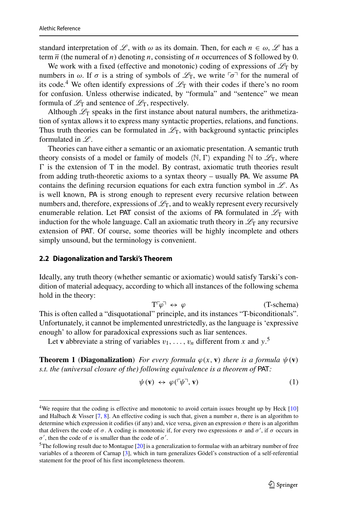standard interpretation of L, with  $\omega$  as its domain. Then, for each  $n \in \omega$ , L has a term  $\overline{n}$  (the numeral of *n*) denoting *n*, consisting of *n* occurrences of S followed by 0.

We work with a fixed (effective and monotonic) coding of expressions of  $\mathcal{L}_T$  by numbers in  $\omega$ . If  $\sigma$  is a string of symbols of  $\mathscr{L}_T$ , we write  $\lceil \sigma \rceil$  for the numeral of its code.<sup>4</sup> We often identify expressions of  $\mathcal{L}_T$  with their codes if there's no room for confusion. Unless otherwise indicated, by "formula" and "sentence" we mean formula of  $\mathcal{L}_T$  and sentence of  $\mathcal{L}_T$ , respectively.

Although  $\mathscr{L}_T$  speaks in the first instance about natural numbers, the arithmetization of syntax allows it to express many syntactic properties, relations, and functions. Thus truth theories can be formulated in  $\mathcal{L}_T$ , with background syntactic principles formulated in  $L$ .

Theories can have either a semantic or an axiomatic presentation. A semantic truth theory consists of a model or family of models  $\langle \mathbb{N}, \Gamma \rangle$  expanding  $\mathbb{N}$  to  $\mathscr{L}_T$ , where  $\Gamma$  is the extension of  $T$  in the model. By contrast, axiomatic truth theories result from adding truth-theoretic axioms to a syntax theory – usually PA. We assume PA contains the defining recursion equations for each extra function symbol in  $\mathcal{L}$ . As is well known, PA is strong enough to represent every recursive relation between numbers and, therefore, expressions of  $\mathcal{L}_T$ , and to weakly represent every recursively enumerable relation. Let PAT consist of the axioms of PA formulated in  $\mathscr{L}_T$  with induction for the whole language. Call an axiomatic truth theory in  $\mathcal{L}_T$  any recursive extension of PAT. Of course, some theories will be highly incomplete and others simply unsound, but the terminology is convenient.

#### <span id="page-2-3"></span>**2.2 Diagonalization and Tarski's Theorem**

Ideally, any truth theory (whether semantic or axiomatic) would satisfy Tarski's condition of material adequacy, according to which all instances of the following schema hold in the theory:

> <span id="page-2-2"></span> $T\ulcorner\varphi\urcorner \leftrightarrow \varphi$  $\overline{\varphi}$ <sup> $\overline{\varphi}$ </sup>  $\Leftrightarrow$   $\varphi$  (T-schema)

This is often called a "disquotational" principle, and its instances "T-biconditionals". Unfortunately, it cannot be implemented unrestrictedly, as the language is 'expressive enough' to allow for paradoxical expressions such as liar sentences.

Let **v** abbreviate a string of variables  $v_1, \ldots, v_n$  different from *x* and  $y$ .<sup>[5](#page-2-1)</sup>

**Theorem 1** (**Diagonalization**) *For every formula*  $\varphi(x, v)$  *there is a formula*  $\psi(v)$ *s.t. the (universal closure of the) following equivalence is a theorem of* PAT*:*

$$
\psi(\mathbf{v}) \leftrightarrow \varphi(\ulcorner \psi \urcorner, \mathbf{v}) \tag{1}
$$

<span id="page-2-0"></span><sup>&</sup>lt;sup>4</sup>We require that the coding is effective and monotonic to avoid certain issues brought up by Heck [\[10\]](#page-20-7) and Halbach & Visser [\[7,](#page-20-5) [8\]](#page-20-6). An effective coding is such that, given a number *n*, there is an algorithm to determine which expression it codifies (if any) and, vice versa, given an expression *σ* there is an algorithm that delivers the code of  $\sigma$ . A coding is monotonic if, for every two expressions  $\sigma$  and  $\sigma'$ , if  $\sigma$  occurs in *σ*<sup>'</sup>, then the code of *σ* is smaller than the code of *σ*<sup>'</sup>.

<span id="page-2-1"></span> $5$ The following result due to Montague [\[20\]](#page-20-8) is a generalization to formulae with an arbitrary number of free variables of a theorem of Carnap [\[3\]](#page-20-9), which in turn generalizes Godel's construction of a self-referential statement for the proof of his first incompleteness theorem.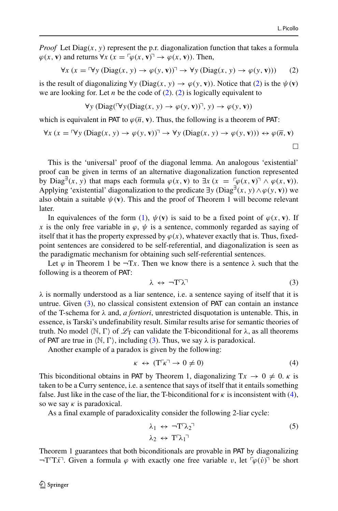*Proof* Let Diag $(x, y)$  represent the p.r. diagonalization function that takes a formula  $\varphi(x, \mathbf{v})$  and returns  $\forall x$  ( $x = \lceil \varphi(x, \mathbf{v}) \rceil \rightarrow \varphi(x, \mathbf{v})$ ). Then,

<span id="page-3-0"></span>
$$
\forall x (x = \forall y (Diag(x, y) \to \varphi(y, \mathbf{v}))^{\top} \to \forall y (Diag(x, y) \to \varphi(y, \mathbf{v})))
$$
 (2)

is the result of diagonalizing  $\forall y$  (Diag $(x, y) \rightarrow \varphi(y, \mathbf{v})$ ). Notice that [\(2\)](#page-3-0) is the  $\psi(\mathbf{v})$ we are looking for. Let *n* be the code of [\(2\)](#page-3-0). [\(2\)](#page-3-0) is logically equivalent to

$$
\forall y \, (\text{Diag}(\forall y (\text{Diag}(x, y) \to \varphi(y, \mathbf{v}))^{\top}, y) \to \varphi(y, \mathbf{v}))
$$

which is equivalent in PAT to  $\varphi(\overline{n}, \mathbf{v})$ . Thus, the following is a theorem of PAT:

$$
\forall x (x = \forall y (Diag(x, y) \to \varphi(y, \mathbf{v}))^{\top} \to \forall y (Diag(x, y) \to \varphi(y, \mathbf{v}))) \leftrightarrow \varphi(\overline{n}, \mathbf{v})
$$

This is the 'universal' proof of the diagonal lemma. An analogous 'existential' proof can be given in terms of an alternative diagonalization function represented by Diag<sup>∃</sup>(x, y) that maps each formula  $\varphi(x, \mathbf{v})$  to  $\exists x$  ( $x = \varphi(x, \mathbf{v}) \land \varphi(x, \mathbf{v})$ ). Applying 'existential' diagonalization to the predicate  $\exists y \left( \text{Diag}^{\exists}(x, y) \land \varphi(y, \mathbf{v}) \right)$  we also obtain a suitable  $\psi(\mathbf{v})$ . This and the proof of Theorem 1 will become relevant later.

In equivalences of the form [\(1\)](#page-2-2),  $\psi(\mathbf{v})$  is said to be a fixed point of  $\varphi(x, \mathbf{v})$ . If *x* is the only free variable in  $\varphi$ ,  $\psi$  is a sentence, commonly regarded as saying of itself that it has the property expressed by  $\varphi(x)$ , whatever exactly that is. Thus, fixedpoint sentences are considered to be self-referential, and diagonalization is seen as the paradigmatic mechanism for obtaining such self-referential sentences.

Let  $\varphi$  in Theorem 1 be  $\neg Tx$ . Then we know there is a sentence  $\lambda$  such that the following is a theorem of PAT:

<span id="page-3-1"></span>
$$
\lambda \leftrightarrow \neg T \negthinspace \ulcorner \lambda \negthinspace \urcorner \tag{3}
$$

*λ* is normally understood as a liar sentence, i.e. a sentence saying of itself that it is untrue. Given [\(3\)](#page-3-1), no classical consistent extension of PAT can contain an instance of the T-schema for *λ* and, *a fortiori*, unrestricted disquotation is untenable. This, in essence, is Tarski's undefinability result. Similar results arise for semantic theories of truth. No model  $\langle N, \Gamma \rangle$  of  $\mathcal{L}_T$  can validate the T-biconditional for  $\lambda$ , as all theorems of PAT are true in  $\langle \mathbb{N}, \Gamma \rangle$ , including [\(3\)](#page-3-1). Thus, we say  $\lambda$  is paradoxical.

Another example of a paradox is given by the following:

<span id="page-3-2"></span>
$$
\kappa \leftrightarrow (\mathbf{T}^{\mathsf{T}} \kappa^{\mathsf{T}} \to 0 \neq 0) \tag{4}
$$

This biconditional obtains in PAT by Theorem 1, diagonalizing  $Tx \to 0 \neq 0$ . *κ* is taken to be a Curry sentence, i.e. a sentence that says of itself that it entails something false. Just like in the case of the liar, the T-biconditional for  $\kappa$  is inconsistent with [\(4\)](#page-3-2), so we say *κ* is paradoxical.

As a final example of paradoxicality consider the following 2-liar cycle:

<span id="page-3-3"></span>
$$
\lambda_1 \leftrightarrow \neg T \gamma_2 \qquad (5)
$$
  
\n
$$
\lambda_2 \leftrightarrow T \gamma_1 \qquad \qquad
$$

Theorem 1 guarantees that both biconditionals are provable in PAT by diagonalizing  $\neg$ T<sup>T</sup>*x*<sup> $\bar{x}$ </sup>. Given a formula  $\varphi$  with exactly one free variable *v*, let  $\neg$  $\varphi$  $(\dot{v})$ <sup> $\bar{v}$ </sup> be short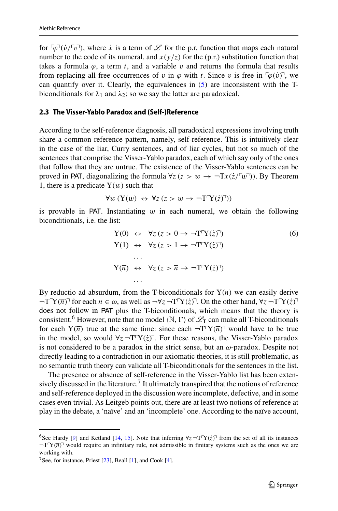for  $\lceil \varphi \rceil$  $(v/\lceil v \rceil)$ , where *x* is a term of *L* for the p.r. function that maps each natural number to the code of its numeral, and  $x(y/z)$  for the (p.r.) substitution function that takes a formula  $\varphi$ , a term *t*, and a variable *v* and returns the formula that results from replacing all free occurrences of *v* in  $\varphi$  with *t*. Since *v* is free in  $\lceil \varphi(v) \rceil$ , we can quantify over it. Clearly, the equivalences in [\(5\)](#page-3-3) are inconsistent with the Tbiconditionals for  $\lambda_1$  and  $\lambda_2$ ; so we say the latter are paradoxical.

## <span id="page-4-2"></span>**2.3 The Visser-Yablo Paradox and (Self-)Reference**

According to the self-reference diagnosis, all paradoxical expressions involving truth share a common reference pattern, namely, self-reference. This is intuitively clear in the case of the liar, Curry sentences, and of liar cycles, but not so much of the sentences that comprise the Visser-Yablo paradox, each of which say only of the ones that follow that they are untrue. The existence of the Visser-Yablo sentences can be proved in PAT, diagonalizing the formula  $\forall z (z > w \rightarrow \neg Tx(\dot{z}/\sqrt{\nu})$ ). By Theorem 1, there is a predicate  $Y(w)$  such that

$$
\forall w \left( Y(w) \leftrightarrow \forall z \left( z > w \to \neg T\Gamma Y(\dot{z})^{\top} \right) \right)
$$

is provable in PAT. Instantiating *w* in each numeral, we obtain the following biconditionals, i.e. the list:

<span id="page-4-3"></span>
$$
Y(0) \leftrightarrow \forall z (z > 0 \to \neg T\Gamma Y(\dot{z})^T)
$$
  
\n
$$
Y(\bar{1}) \leftrightarrow \forall z (z > \bar{1} \to \neg T\Gamma Y(\dot{z})^T)
$$
  
\n...  
\n
$$
Y(\bar{n}) \leftrightarrow \forall z (z > \bar{n} \to \neg T\Gamma Y(\dot{z})^T)
$$
  
\n...  
\n...

By reductio ad absurdum, from the T-biconditionals for  $Y(\overline{n})$  we can easily derive  $\neg$ T<sup>T</sup> $Y(\overline{n})^T$  for each  $n \in \omega$ , as well as  $\neg$  $\neg$ z $\neg$ T $\neg$  $Y(\dot{z})^T$ . On the other hand,  $\neg$ z $\neg$ T $\neg$  $Y(\dot{z})^T$ does not follow in PAT plus the T-biconditionals, which means that the theory is consistent.<sup>6</sup> However, note that no model  $\langle \mathbb{N}, \Gamma \rangle$  of  $\mathcal{L}_T$  can make all T-biconditionals for each  $Y(\overline{n})$  true at the same time: since each  $\neg T^{r}Y(\overline{n})^{\neg}$  would have to be true in the model, so would  $\forall z$  ¬T<sup>-</sup> $Y(z)$ <sup>-</sup>. For these reasons, the Visser-Yablo paradox is not considered to be a paradox in the strict sense, but an *ω*-paradox. Despite not directly leading to a contradiction in our axiomatic theories, it is still problematic, as no semantic truth theory can validate all T-biconditionals for the sentences in the list.

The presence or absence of self-reference in the Visser-Yablo list has been exten-sively discussed in the literature.<sup>[7](#page-4-1)</sup> It ultimately transpired that the notions of reference and self-reference deployed in the discussion were incomplete, defective, and in some cases even trivial. As Leitgeb points out, there are at least two notions of reference at play in the debate, a 'naïve' and an 'incomplete' one. According to the naïve account,

<span id="page-4-0"></span><sup>&</sup>lt;sup>6</sup>See Hardy [\[9\]](#page-20-10) and Ketland [\[14,](#page-20-11) [15\]](#page-20-12). Note that inferring  $\forall z$   $\neg$ T $\forall$ ( $\dot{z}$ )<sup> $\exists$ </sup> from the set of all its instances  $\neg T^{\prime}Y(\overline{n})^{\prime}$  would require an infinitary rule, not admissible in finitary systems such as the ones we are working with.

<span id="page-4-1"></span><sup>&</sup>lt;sup>7</sup>See, for instance, Priest  $[23]$ , Beall  $[1]$ , and Cook  $[4]$ .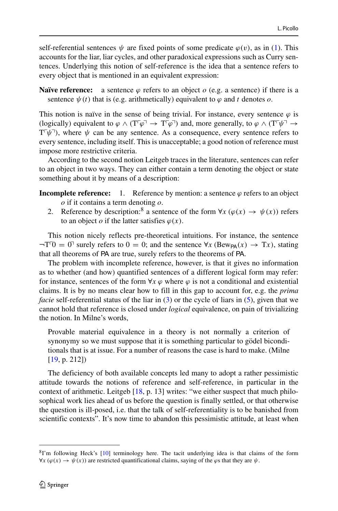self-referential sentences  $\psi$  are fixed points of some predicate  $\varphi(v)$ , as in [\(1\)](#page-2-2). This accounts for the liar, liar cycles, and other paradoxical expressions such as Curry sentences. Underlying this notion of self-reference is the idea that a sentence refers to every object that is mentioned in an equivalent expression:

**Naïve reference:** a sentence  $\varphi$  refers to an object  $\varphi$  (e.g. a sentence) if there is a sentence  $\psi(t)$  that is (e.g. arithmetically) equivalent to  $\varphi$  and  $t$  denotes  $o$ .

This notion is naïve in the sense of being trivial. For instance, every sentence  $\varphi$  is (logically) equivalent to  $\varphi \wedge (T^{\lceil} \varphi \rceil \rightarrow T^{\lceil} \varphi \rceil)$  and, more generally, to  $\varphi \wedge (T^{\lceil} \psi \rceil \rightarrow$  $T^{\dagger}\psi$ <sup>-</sup>), where  $\psi$  can be any sentence. As a consequence, every sentence refers to every sentence, including itself. This is unacceptable; a good notion of reference must impose more restrictive criteria.

According to the second notion Leitgeb traces in the literature, sentences can refer to an object in two ways. They can either contain a term denoting the object or state something about it by means of a description:

- **Incomplete reference:** 1. Reference by mention: a sentence  $\varphi$  refers to an object *o* if it contains a term denoting *o*.
	- 2. Reference by description:<sup>8</sup> a sentence of the form  $\forall x (\varphi(x) \rightarrow \psi(x))$  refers to an object *o* if the latter satisfies  $\varphi(x)$ .

This notion nicely reflects pre-theoretical intuitions. For instance, the sentence  $\neg$ T<sup>T</sup> $0 = 0$ <sup>T</sup> surely refers to  $0 = 0$ ; and the sentence  $\forall x$  (Bew<sub>PA</sub> $(x) \rightarrow Tx$ ), stating that all theorems of PA are true, surely refers to the theorems of PA.

The problem with incomplete reference, however, is that it gives no information as to whether (and how) quantified sentences of a different logical form may refer: for instance, sentences of the form  $\forall x \varphi$  where  $\varphi$  is not a conditional and existential claims. It is by no means clear how to fill in this gap to account for, e.g. the *prima facie* self-referential status of the liar in [\(3\)](#page-3-1) or the cycle of liars in [\(5\)](#page-3-3), given that we cannot hold that reference is closed under *logical* equivalence, on pain of trivializing the notion. In Milne's words,

Provable material equivalence in a theory is not normally a criterion of synonymy so we must suppose that it is something particular to gödel biconditionals that is at issue. For a number of reasons the case is hard to make. (Milne [\[19,](#page-20-14) p. 212])

The deficiency of both available concepts led many to adopt a rather pessimistic attitude towards the notions of reference and self-reference, in particular in the context of arithmetic. Leitgeb [\[18,](#page-20-3) p. 13] writes: "we either suspect that much philosophical work lies ahead of us before the question is finally settled, or that otherwise the question is ill-posed, i.e. that the talk of self-referentiality is to be banished from scientific contexts". It's now time to abandon this pessimistic attitude, at least when

<span id="page-5-0"></span><sup>8</sup>I'm following Heck's [\[10\]](#page-20-7) terminology here. The tacit underlying idea is that claims of the form  $\forall x (\varphi(x) \rightarrow \psi(x))$  are restricted quantificational claims, saying of the  $\varphi$ s that they are  $\psi$ .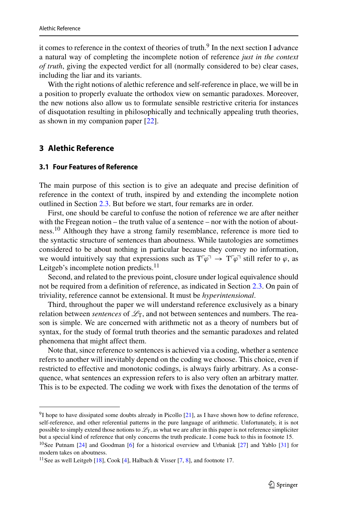it comes to reference in the context of theories of truth.<sup>[9](#page-6-1)</sup> In the next section I advance a natural way of completing the incomplete notion of reference *just in the context of truth*, giving the expected verdict for all (normally considered to be) clear cases, including the liar and its variants.

With the right notions of alethic reference and self-reference in place, we will be in a position to properly evaluate the orthodox view on semantic paradoxes. Moreover, the new notions also allow us to formulate sensible restrictive criteria for instances of disquotation resulting in philosophically and technically appealing truth theories, as shown in my companion paper [\[22\]](#page-21-1).

## <span id="page-6-0"></span>**3 Alethic Reference**

### **3.1 Four Features of Reference**

The main purpose of this section is to give an adequate and precise definition of reference in the context of truth, inspired by and extending the incomplete notion outlined in Section [2.3.](#page-4-2) But before we start, four remarks are in order.

First, one should be careful to confuse the notion of reference we are after neither with the Fregean notion – the truth value of a sentence – nor with the notion of about-ness.<sup>[10](#page-6-2)</sup> Although they have a strong family resemblance, reference is more tied to the syntactic structure of sentences than aboutness. While tautologies are sometimes considered to be about nothing in particular because they convey no information, we would intuitively say that expressions such as  $T^{\dagger}\varphi^{\dagger} \to T^{\dagger}\varphi^{\dagger}$  still refer to  $\varphi$ , as Leitgeb's incomplete notion predicts. $<sup>11</sup>$ </sup>

Second, and related to the previous point, closure under logical equivalence should not be required from a definition of reference, as indicated in Section [2.3.](#page-4-2) On pain of triviality, reference cannot be extensional. It must be *hyperintensional*.

Third, throughout the paper we will understand reference exclusively as a binary relation between *sentences* of  $\mathcal{L}_T$ , and not between sentences and numbers. The reason is simple. We are concerned with arithmetic not as a theory of numbers but of syntax, for the study of formal truth theories and the semantic paradoxes and related phenomena that might affect them.

Note that, since reference to sentences is achieved via a coding, whether a sentence refers to another will inevitably depend on the coding we choose. This choice, even if restricted to effective and monotonic codings, is always fairly arbitrary. As a consequence, what sentences an expression refers to is also very often an arbitrary matter. This is to be expected. The coding we work with fixes the denotation of the terms of

<span id="page-6-1"></span> $91$  hope to have dissipated some doubts already in Picollo [\[21\]](#page-20-1), as I have shown how to define reference, self-reference, and other referential patterns in the pure language of arithmetic. Unfortunately, it is not possible to simply extend those notions to  $\mathcal{L}_T$ , as what we are after in this paper is not reference simpliciter but a special kind of reference that only concerns the truth predicate. I come back to this in footnote 15. <sup>10</sup>See Putnam [\[24\]](#page-21-6) and Goodman [\[6\]](#page-20-15) for a historical overview and Urbaniak [\[27\]](#page-21-7) and Yablo [\[31\]](#page-21-8) for

<span id="page-6-2"></span>modern takes on aboutness.

<span id="page-6-3"></span><sup>&</sup>lt;sup>11</sup> See as well Leitgeb [\[18\]](#page-20-3), Cook [\[4\]](#page-20-4), Halbach & Visser [\[7,](#page-20-5) [8\]](#page-20-6), and footnote 17.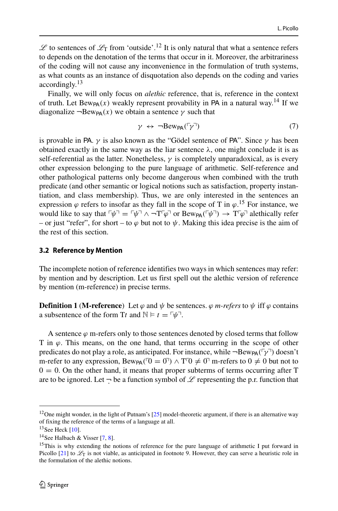$\mathscr L$  to sentences of  $\mathscr L_T$  from 'outside'.<sup>[12](#page-7-0)</sup> It is only natural that what a sentence refers to depends on the denotation of the terms that occur in it. Moreover, the arbitrariness of the coding will not cause any inconvenience in the formulation of truth systems, as what counts as an instance of disquotation also depends on the coding and varies accordingly.[13](#page-7-1)

Finally, we will only focus on *alethic* reference, that is, reference in the context of truth. Let  $Bew_{PA}(x)$  weakly represent provability in PA in a natural way.<sup>[14](#page-7-2)</sup> If we diagonalize  $\neg$ Bew<sub>PA</sub> $(x)$  we obtain a sentence  $\gamma$  such that

$$
\gamma \leftrightarrow \neg \text{Bew}_{\text{PA}}(\ulcorner \gamma \urcorner) \tag{7}
$$

is provable in PA.  $\gamma$  is also known as the "Gödel sentence of PA". Since  $\gamma$  has been obtained exactly in the same way as the liar sentence  $\lambda$ , one might conclude it is as self-referential as the latter. Nonetheless, *γ* is completely unparadoxical, as is every other expression belonging to the pure language of arithmetic. Self-reference and other pathological patterns only become dangerous when combined with the truth predicate (and other semantic or logical notions such as satisfaction, property instantiation, and class membership). Thus, we are only interested in the sentences an expression  $\varphi$  refers to insofar as they fall in the scope of T in  $\varphi$ .<sup>[15](#page-7-3)</sup> For instance, we would like to say that  $\lceil \psi \rceil = \lceil \psi \rceil \wedge \lceil \text{Tr} \varphi \rceil$  or  $\text{Bew}_{\text{PA}}(\lceil \psi \rceil) \rightarrow \lceil \text{Tr} \varphi \rceil$  alethically refer – or just "refer", for short – to  $\varphi$  but not to  $\psi$ . Making this idea precise is the aim of the rest of this section.

#### <span id="page-7-4"></span>**3.2 Reference by Mention**

The incomplete notion of reference identifies two ways in which sentences may refer: by mention and by description. Let us first spell out the alethic version of reference by mention (m-reference) in precise terms.

**Definition 1** (**M-reference**) Let  $\varphi$  and  $\psi$  be sentences.  $\varphi$  *m-refers* to  $\psi$  iff  $\varphi$  contains a subsentence of the form Tt and  $\mathbb{N} \models t = \lceil \psi \rceil$ .

A sentence  $\varphi$  m-refers only to those sentences denoted by closed terms that follow T in *ϕ*. This means, on the one hand, that terms occurring in the scope of other predicates do not play a role, as anticipated. For instance, while ¬Bew<sub>PA</sub>(<sup>Γ</sup>γ<sup>⊤</sup>) doesn't m-refer to any expression,  $Bew_{PA}(\text{d} = 0) \wedge T^{\text{T}} 0 \neq 0$ <sup>n</sup> m-refers to  $0 \neq 0$  but not to  $0 = 0$ . On the other hand, it means that proper subterms of terms occurring after T are to be ignored. Let  $\neg$  be a function symbol of  $\mathscr L$  representing the p.r. function that

<span id="page-7-0"></span><sup>&</sup>lt;sup>12</sup>One might wonder, in the light of Putnam's  $[25]$  model-theoretic argument, if there is an alternative way of fixing the reference of the terms of a language at all.

 $13$  See Heck [\[10\]](#page-20-7).

<span id="page-7-1"></span><sup>&</sup>lt;sup>14</sup>See Halbach & Visser  $[7, 8]$  $[7, 8]$  $[7, 8]$ .

<span id="page-7-3"></span><span id="page-7-2"></span><sup>&</sup>lt;sup>15</sup>This is why extending the notions of reference for the pure language of arithmetic I put forward in Picollo [\[21\]](#page-20-1) to  $\mathcal{L}_T$  is not viable, as anticipated in footnote 9. However, they can serve a heuristic role in the formulation of the alethic notions.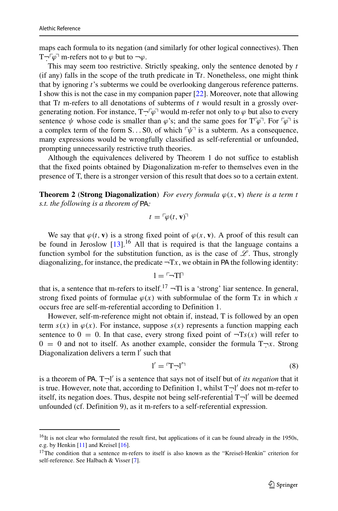maps each formula to its negation (and similarly for other logical connectives). Then  $T\overline{\cdot}^{\lceil \varphi \rceil}$  m-refers not to  $\varphi$  but to  $\neg \varphi$ .

This may seem too restrictive. Strictly speaking, only the sentence denoted by *t* (if any) falls in the scope of the truth predicate in  $T_t$ . Nonetheless, one might think that by ignoring *t*'s subterms we could be overlooking dangerous reference patterns. I show this is not the case in my companion paper [\[22\]](#page-21-1). Moreover, note that allowing that T*t* m-refers to all denotations of subterms of *t* would result in a grossly overgenerating notion. For instance,  $T \neg \ulcorner \varphi \urcorner$  would m-refer not only to  $\varphi$  but also to every sentence  $\psi$  whose code is smaller than  $\varphi$ 's; and the same goes for  $T^{\tau}\varphi$ <sup>-</sup>. For  $\tau\varphi$ <sup>-</sup> is a complex term of the form  $S...S0$ , of which  $\neg \psi$ <sup> $\neg$ </sup> is a subterm. As a consequence, many expressions would be wrongfully classified as self-referential or unfounded, prompting unnecessarily restrictive truth theories.

Although the equivalences delivered by Theorem 1 do not suffice to establish that the fixed points obtained by Diagonalization m-refer to themselves even in the presence of T, there is a stronger version of this result that does so to a certain extent.

**Theorem 2** (**Strong Diagonalization**) *For every formula*  $\varphi(x, v)$  *there is a term t s.t. the following is a theorem of* PA*:*

$$
t = \lceil \varphi(t, \mathbf{v}) \rceil
$$

We say that  $\varphi(t, \mathbf{v})$  is a strong fixed point of  $\varphi(x, \mathbf{v})$ . A proof of this result can be found in Jeroslow  $[13]$ .<sup>16</sup> All that is required is that the language contains a function symbol for the substitution function, as is the case of  $\mathscr{L}$ . Thus, strongly diagonalizing, for instance, the predicate  $\neg Tx$ , we obtain in PA the following identity:

$$
l = \ulcorner \neg \text{Tr}
$$

that is, a sentence that m-refers to itself.<sup>[17](#page-8-1)</sup>  $\neg$ Tl is a 'strong' liar sentence. In general, strong fixed points of formulae  $\varphi(x)$  with subformulae of the form Tx in which x occurs free are self-m-referential according to Definition 1.

However, self-m-reference might not obtain if, instead, T is followed by an open term  $s(x)$  in  $\varphi(x)$ . For instance, suppose  $s(x)$  represents a function mapping each sentence to  $0 = 0$ . In that case, every strong fixed point of  $\neg$ *Ts(x)* will refer to  $0 = 0$  and not to itself. As another example, consider the formula  $T \rightarrow x$ . Strong Diagonalization delivers a term l' such that

<span id="page-8-2"></span>
$$
l' = \mathbf{T} \cdot \mathbf{l}' \tag{8}
$$

is a theorem of PA.  $T\neg l'$  is a sentence that says not of itself but of *its negation* that it is true. However, note that, according to Definition 1, whilst  $T\neg l'$  does not m-refer to itself, its negation does. Thus, despite not being self-referential  $T\neg l'$  will be deemed unfounded (cf. Definition 9), as it m-refers to a self-referential expression.

<span id="page-8-0"></span><sup>&</sup>lt;sup>16</sup>It is not clear who formulated the result first, but applications of it can be found already in the 1950s, e.g. by Henkin [\[11\]](#page-20-17) and Kreisel [\[16\]](#page-20-18).

<span id="page-8-1"></span><sup>&</sup>lt;sup>17</sup>The condition that a sentence m-refers to itself is also known as the "Kreisel-Henkin" criterion for self-reference. See Halbach & Visser [\[7\]](#page-20-5).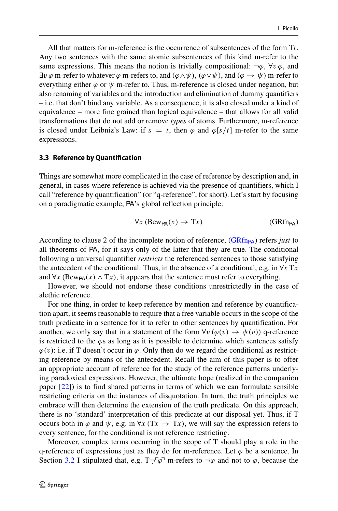All that matters for m-reference is the occurrence of subsentences of the form T*t*. Any two sentences with the same atomic subsentences of this kind m-refer to the same expressions. This means the notion is trivially compositional:  $\neg \varphi$ ,  $\nforall v \varphi$ , and  $\exists v \varphi$  m-refer to whatever  $\varphi$  m-refers to, and  $(\varphi \land \psi)$ ,  $(\varphi \lor \psi)$ , and  $(\varphi \to \psi)$  m-refer to everything either  $\varphi$  or  $\psi$  m-refer to. Thus, m-reference is closed under negation, but also renaming of variables and the introduction and elimination of dummy quantifiers – i.e. that don't bind any variable. As a consequence, it is also closed under a kind of equivalence – more fine grained than logical equivalence – that allows for all valid transformations that do not add or remove *types* of atoms. Furthermore, m-reference is closed under Leibniz's Law: if  $s = t$ , then  $\varphi$  and  $\varphi[s/t]$  m-refer to the same expressions.

#### <span id="page-9-2"></span>**3.3 Reference by Quantification**

Things are somewhat more complicated in the case of reference by description and, in general, in cases where reference is achieved via the presence of quantifiers, which I call "reference by quantification" (or "q-reference", for short). Let's start by focusing on a paradigmatic example, PA's global reflection principle:

<span id="page-9-1"></span><span id="page-9-0"></span>
$$
\forall x \, (\text{Bew}_{\text{PA}}(x) \to Tx) \tag{GRfn}_{\text{PA}}
$$

According to clause 2 of the incomplete notion of reference,  $(GRf_{P\text{A}})$  refers *just* to all theorems of PA, for it says only of the latter that they are true. The conditional following a universal quantifier *restricts* the referenced sentences to those satisfying the antecedent of the conditional. Thus, in the absence of a conditional, e.g. in  $\forall x \text{ }\mathrm{Tx}$ and  $\forall x$  (Bew<sub>PA</sub> $(x) \wedge Tx$ ), it appears that the sentence must refer to everything.

However, we should not endorse these conditions unrestrictedly in the case of alethic reference.

For one thing, in order to keep reference by mention and reference by quantification apart, it seems reasonable to require that a free variable occurs in the scope of the truth predicate in a sentence for it to refer to other sentences by quantification. For another, we only say that in a statement of the form  $\forall v (\varphi(v) \rightarrow \psi(v))$  q-reference is restricted to the *ϕ*s as long as it is possible to determine which sentences satisfy  $\varphi(v)$ : i.e. if T doesn't occur in  $\varphi$ . Only then do we regard the conditional as restricting reference by means of the antecedent. Recall the aim of this paper is to offer an appropriate account of reference for the study of the reference patterns underlying paradoxical expressions. However, the ultimate hope (realized in the companion paper [\[22\]](#page-21-1)) is to find shared patterns in terms of which we can formulate sensible restricting criteria on the instances of disquotation. In turn, the truth principles we embrace will then determine the extension of the truth predicate. On this approach, there is no 'standard' interpretation of this predicate at our disposal yet. Thus, if T occurs both in  $\varphi$  and  $\psi$ , e.g. in  $\forall x$  (Tx  $\rightarrow$  Tx), we will say the expression refers to every sentence, for the conditional is not reference restricting.

Moreover, complex terms occurring in the scope of T should play a role in the q-reference of expressions just as they do for m-reference. Let *ϕ* be a sentence. In Section [3.2](#page-7-4) I stipulated that, e.g.  $T \neg \neg \varphi$  m-refers to  $\neg \varphi$  and not to  $\varphi$ , because the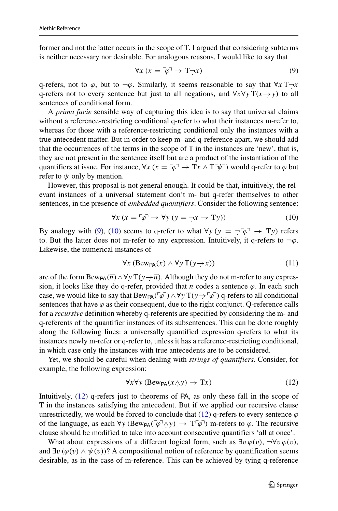former and not the latter occurs in the scope of T. I argued that considering subterms is neither necessary nor desirable. For analogous reasons, I would like to say that

$$
\forall x \ (x = \lceil \varphi \rceil \to \mathbf{T} \rceil x) \tag{9}
$$

q-refers, not to  $\varphi$ , but to  $\neg \varphi$ . Similarly, it seems reasonable to say that  $\forall x$  T $\neg x$ q-refers not to every sentence but just to all negations, and  $\forall x \forall y T(x \rightarrow y)$  to all sentences of conditional form.

A *prima facie* sensible way of capturing this idea is to say that universal claims without a reference-restricting conditional q-refer to what their instances m-refer to, whereas for those with a reference-restricting conditional only the instances with a true antecedent matter. But in order to keep m- and q-reference apart, we should add that the occurrences of the terms in the scope of T in the instances are 'new', that is, they are not present in the sentence itself but are a product of the instantiation of the quantifiers at issue. For instance,  $\forall x (x = \lceil \varphi \rceil \rightarrow Tx \land T \lceil \psi \rceil)$  would q-refer to  $\varphi$  but refer to  $\psi$  only by mention.

However, this proposal is not general enough. It could be that, intuitively, the relevant instances of a universal statement don't m- but q-refer themselves to other sentences, in the presence of *embedded quantifiers*. Consider the following sentence:

<span id="page-10-0"></span>
$$
\forall x (x = \lceil \varphi \rceil \to \forall y (y = \lceil x \rceil \to \mathrm{T}y)) \tag{10}
$$

By analogy with [\(9\)](#page-9-1), [\(10\)](#page-10-0) seems to q-refer to what  $\forall y (y = \neg \lceil \varphi \rceil \rightarrow \text{T}y)$  refers to. But the latter does not m-refer to any expression. Intuitively, it q-refers to ¬*ϕ*. Likewise, the numerical instances of

<span id="page-10-2"></span>
$$
\forall x \ (\text{Bew}_{\text{PA}}(x) \land \forall y \ T(y \rightarrow x)) \tag{11}
$$

are of the form  $Bew_{PA}(\overline{n}) \wedge \forall y T(y \rightarrow \overline{n})$ . Although they do not m-refer to any expression, it looks like they do q-refer, provided that *n* codes a sentence  $\varphi$ . In each such case, we would like to say that  $Bew_{PA}(\lceil \varphi \rceil) \wedge \forall y T(y \rightarrow \lceil \varphi \rceil)$  q-refers to all conditional sentences that have  $\varphi$  as their consequent, due to the right conjunct. Q-reference calls for a *recursive* definition whereby q-referents are specified by considering the m- and q-referents of the quantifier instances of its subsentences. This can be done roughly along the following lines: a universally quantified expression q-refers to what its instances newly m-refer or q-refer to, unless it has a reference-restricting conditional, in which case only the instances with true antecedents are to be considered.

Yet, we should be careful when dealing with *strings of quantifiers*. Consider, for example, the following expression:

<span id="page-10-1"></span>
$$
\forall x \forall y \, (\text{Bew}_{\text{PA}}(x \land y) \to Tx) \tag{12}
$$

Intuitively, [\(12\)](#page-10-1) q-refers just to theorems of PA, as only these fall in the scope of T in the instances satisfying the antecedent. But if we applied our recursive clause unrestrictedly, we would be forced to conclude that  $(12)$  q-refers to every sentence  $\varphi$ of the language, as each  $\forall y$  (Bew<sub>PA</sub>( $\lceil \varphi \rceil \wedge y$ )  $\rightarrow$   $T^{\lceil \varphi \rceil}$ ) m-refers to  $\varphi$ . The recursive clause should be modified to take into account consecutive quantifiers 'all at once'.

What about expressions of a different logical form, such as  $\exists v \varphi(v)$ ,  $\neg \forall v \varphi(v)$ , and  $\exists v \, (\varphi(v) \land \psi(v))$ ? A compositional notion of reference by quantification seems desirable, as in the case of m-reference. This can be achieved by tying q-reference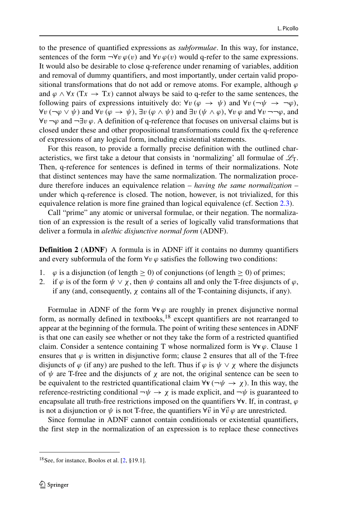to the presence of quantified expressions as *subformulae*. In this way, for instance, sentences of the form  $\neg \forall v \varphi(v)$  and  $\forall v \varphi(v)$  would q-refer to the same expressions. It would also be desirable to close q-reference under renaming of variables, addition and removal of dummy quantifiers, and most importantly, under certain valid propositional transformations that do not add or remove atoms. For example, although  $\varphi$ and  $\varphi \wedge \forall x$  (Tx  $\rightarrow$  Tx) cannot always be said to q-refer to the same sentences, the following pairs of expressions intuitively do:  $\forall v (\varphi \rightarrow \psi)$  and  $\forall v (\neg \psi \rightarrow \neg \varphi)$ , ∀*v (*¬*ϕ* ∨ *ψ)* and ∀*v (ϕ* → *ψ)*, ∃*v (ϕ* ∧ *ψ)* and ∃*v (ψ* ∧ *ϕ)*, ∀*v ϕ* and ∀*v* ¬¬*ϕ*, and ∀*v* ¬*ϕ* and ¬∃*v ϕ*. A definition of q-reference that focuses on universal claims but is closed under these and other propositional transformations could fix the q-reference of expressions of any logical form, including existential statements.

For this reason, to provide a formally precise definition with the outlined characteristics, we first take a detour that consists in 'normalizing' all formulae of  $\mathcal{L}_T$ . Then, q-reference for sentences is defined in terms of their normalizations. Note that distinct sentences may have the same normalization. The normalization procedure therefore induces an equivalence relation – *having the same normalization* – under which q-reference is closed. The notion, however, is not trivialized, for this equivalence relation is more fine grained than logical equivalence (cf. Section [2.3\)](#page-4-2).

Call "prime" any atomic or universal formulae, or their negation. The normalization of an expression is the result of a series of logically valid transformations that deliver a formula in *alethic disjunctive normal form* (ADNF).

**Definition 2** (ADNF) A formula is in ADNF iff it contains no dummy quantifiers and every subformula of the form  $\forall v \varphi$  satisfies the following two conditions:

- 1.  $\varphi$  is a disjunction (of length  $\geq$  0) of conjunctions (of length  $\geq$  0) of primes;<br>2. if  $\varphi$  is of the form  $\psi \vee \gamma$ , then  $\psi$  contains all and only the T-free disjuncts of
- if  $\varphi$  is of the form  $\psi \lor \chi$ , then  $\psi$  contains all and only the T-free disjuncts of  $\varphi$ , if any (and, consequently,  $\chi$  contains all of the T-containing disjuncts, if any).

Formulae in ADNF of the form  $\forall v \varphi$  are roughly in prenex disjunctive normal form, as normally defined in textbooks,<sup>[18](#page-11-0)</sup> except quantifiers are not rearranged to appear at the beginning of the formula. The point of writing these sentences in ADNF is that one can easily see whether or not they take the form of a restricted quantified claim. Consider a sentence containing T whose normalized form is  $\forall v \varphi$ . Clause 1 ensures that  $\varphi$  is written in disjunctive form; clause 2 ensures that all of the T-free disjuncts of  $\varphi$  (if any) are pushed to the left. Thus if  $\varphi$  is  $\psi \vee \chi$  where the disjuncts of  $\psi$  are T-free and the disjuncts of  $\chi$  are not, the original sentence can be seen to be equivalent to the restricted quantificational claim  $\forall$ **v** ( $\neg$  $\psi \rightarrow \chi$ ). In this way, the reference-restricting conditional  $\neg \psi \rightarrow \chi$  is made explicit, and  $\neg \psi$  is guaranteed to encapsulate all truth-free restrictions imposed on the quantifiers ∀**v**. If, in contrast, *ϕ* is not a disjunction or  $\psi$  is not T-free, the quantifiers  $\forall \vec{v}$  in  $\forall \vec{v} \varphi$  are unrestricted.

Since formulae in ADNF cannot contain conditionals or existential quantifiers, the first step in the normalization of an expression is to replace these connectives

<span id="page-11-0"></span><sup>18</sup>See, for instance, Boolos et al. [\[2,](#page-20-19) §19.1].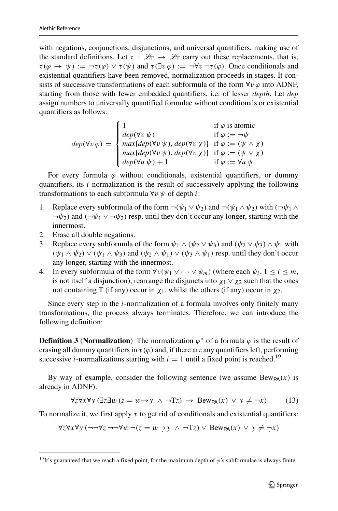with negations, conjunctions, disjunctions, and universal quantifiers, making use of the standard definitions. Let  $\tau : \mathcal{L}_T \to \mathcal{L}_T$  carry out these replacements, that is,  $\tau(\varphi \to \psi) := \neg \tau(\varphi) \lor \tau(\psi)$  and  $\tau(\exists v \varphi) := \neg \forall v \neg \tau(\varphi)$ . Once conditionals and existential quantifiers have been removed, normalization proceeds in stages. It consists of successive transformations of each subformula of the form  $\forall v \varphi$  into ADNF, starting from those with fewer embedded quantifiers, i.e. of lesser *depth*. Let *dep* assign numbers to universally quantified formulae without conditionals or existential quantifiers as follows:

$$
dep(\forall v \varphi) = \begin{cases} 1 & \text{if } \varphi \text{ is atomic} \\ dep(\forall v \psi) & \text{if } \varphi := \neg \psi \\ max\{dep(\forall v \psi), dep(\forall v \chi) \} & \text{if } \varphi := (\psi \wedge \chi) \\ max\{dep(\forall v \psi), dep(\forall v \chi) \} & \text{if } \varphi := (\psi \vee \chi) \\ dep(\forall u \psi) + 1 & \text{if } \varphi := \forall u \psi \end{cases}
$$

For every formula  $\varphi$  without conditionals, existential quantifiers, or dummy quantifiers, its *i*-normalization is the result of successively applying the following transformations to each subformula ∀*v ψ* of depth *i*:

- 1. Replace every subformula of the form  $\neg(\psi_1 \lor \psi_2)$  and  $\neg(\psi_1 \land \psi_2)$  with  $(\neg \psi_1 \land \psi_2)$ ¬*ψ*2*)* and *(*¬*ψ*<sup>1</sup> ∨ ¬*ψ*2*)* resp. until they don't occur any longer, starting with the innermost.
- 2. Erase all double negations.
- 3. Replace every subformula of the form  $\psi_1 \wedge (\psi_2 \vee \psi_3)$  and  $(\psi_2 \vee \psi_3) \wedge \psi_1$  with  $(\psi_1 \wedge \psi_2) \vee (\psi_1 \wedge \psi_3)$  and  $(\psi_2 \wedge \psi_1) \vee (\psi_3 \wedge \psi_1)$  resp. until they don't occur any longer, starting with the innermost.
- 4. In every subformula of the form  $\forall v(\psi_1 \lor \dots \lor \psi_m)$  (where each  $\psi_i$ ,  $1 \le i \le m$ , is not itself a disjunction), rearrange the disjuncts into  $\chi_1 \vee \chi_2$  such that the ones not containing T (if any) occur in  $χ_1$ , whilst the others (if any) occur in  $χ_2$ .

Since every step in the *i*-normalization of a formula involves only finitely many transformations, the process always terminates. Therefore, we can introduce the following definition:

**Definition 3** (**Normalization**) The normalization  $\varphi^*$  of a formula  $\varphi$  is the result of erasing all dummy quantifiers in  $\tau(\varphi)$  and, if there are any quantifiers left, performing successive *i*-normalizations starting with  $i = 1$  until a fixed point is reached.<sup>[19](#page-12-0)</sup>

By way of example, consider the following sentence (we assume  $Bew_{PA}(x)$  is already in ADNF):

<span id="page-12-1"></span>
$$
\forall z \forall x \forall y (\exists z \exists w (z = w \rightarrow y \land \neg Tz) \rightarrow \text{Bew}_{\text{PA}}(x) \lor y \neq \neg x)
$$
 (13)

To normalize it, we first apply *τ* to get rid of conditionals and existential quantifiers:

$$
\forall z \forall x \forall y (\neg\neg \forall z \neg\neg \forall w \neg(z = w \rightarrow y \land \neg Tz) \lor \text{Bew}_{\text{PA}}(x) \lor y \neq \neg x)
$$

<span id="page-12-0"></span><sup>&</sup>lt;sup>19</sup>It's guaranteed that we reach a fixed point, for the maximum depth of  $\varphi$ 's subformulae is always finite.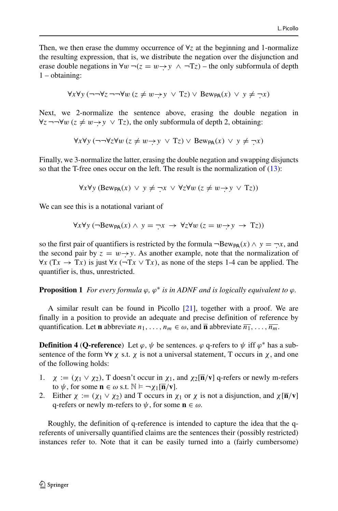Then, we then erase the dummy occurrence of  $\forall z$  at the beginning and 1-normalize the resulting expression, that is, we distribute the negation over the disjunction and erase double negations in  $\forall w \neg (z = w \rightarrow y \land \neg Tz)$  – the only subformula of depth 1 – obtaining:

$$
\forall x \forall y (\neg\neg \forall z \neg\neg \forall w (z \neq w \rightarrow y \lor Tz) \lor Bew_{\mathsf{PA}}(x) \lor y \neq \neg x)
$$

Next, we 2-normalize the sentence above, erasing the double negation in  $\forall z$  ¬¬ $\forall w$  ( $z \neq w \rightarrow y \lor Tz$ ), the only subformula of depth 2, obtaining:

$$
\forall x \forall y (\neg\neg \forall z \forall w (z \neq w \rightarrow y \lor Tz) \lor \text{Bew}_{\text{PA}}(x) \lor y \neq \neg x)
$$

Finally, we 3-normalize the latter, erasing the double negation and swapping disjuncts so that the T-free ones occur on the left. The result is the normalization of [\(13\)](#page-12-1):

$$
\forall x \forall y \, (\text{Bew}_{\text{PA}}(x) \lor y \neq \neg x \lor \forall z \forall w \, (z \neq w \to y \lor Tz))
$$

We can see this is a notational variant of

$$
\forall x \forall y (\neg B \text{ew}_{\mathsf{PA}}(x) \land y = \neg x \rightarrow \forall z \forall w (z = w \rightarrow y \rightarrow Tz))
$$

so the first pair of quantifiers is restricted by the formula  $\neg Bew_{PA}(x) \wedge y = \neg x$ , and the second pair by  $z = w \rightarrow y$ . As another example, note that the normalization of  $\forall x$  (T*x* → T*x*) is just  $\forall x$  (¬T*x* ∨ T*x*), as none of the steps 1-4 can be applied. The quantifier is, thus, unrestricted.

**Proposition 1** *For every formula*  $\varphi$ ,  $\varphi^*$  *is in ADNF and is logically equivalent to*  $\varphi$ *.* 

A similar result can be found in Picollo [\[21\]](#page-20-1), together with a proof. We are finally in a position to provide an adequate and precise definition of reference by quantification. Let **n** abbreviate  $n_1, \ldots, n_m \in \omega$ , and  $\overline{\mathbf{n}}$  abbreviate  $\overline{n_1}, \ldots, \overline{n_m}$ .

**Definition 4** (**Q-reference**) Let  $\varphi$ ,  $\psi$  be sentences.  $\varphi$  q-refers to  $\psi$  iff  $\varphi^*$  has a subsentence of the form  $\forall$ **v**  $\chi$  s.t.  $\chi$  is not a universal statement, T occurs in  $\chi$ , and one of the following holds:

- 1. *χ* := *(χ*<sup>1</sup> ∨ *χ*2*)*, T doesn't occur in *χ*1, and *χ*2[**n***/***v**] q-refers or newly m-refers to  $\psi$ , for some  $\mathbf{n} \in \omega$  s.t.  $\mathbb{N} \models \neg \chi_1[\overline{\mathbf{n}}/\mathbf{v}]$ .
- 2. Either  $\chi := (\chi_1 \vee \chi_2)$  and T occurs in  $\chi_1$  or  $\chi$  is not a disjunction, and  $\chi[\overline{n}/v]$ q-refers or newly m-refers to *ψ*, for some **n** ∈ *ω*.

Roughly, the definition of q-reference is intended to capture the idea that the qreferents of universally quantified claims are the sentences their (possibly restricted) instances refer to. Note that it can be easily turned into a (fairly cumbersome)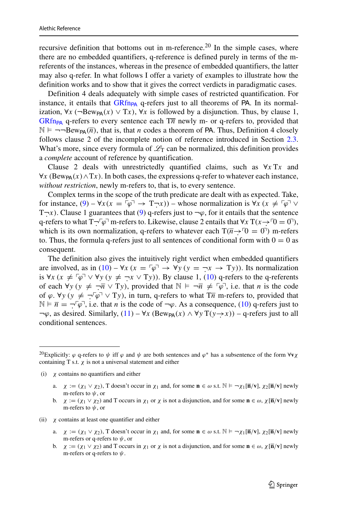recursive definition that bottoms out in m-reference.<sup>[20](#page-14-0)</sup> In the simple cases, where there are no embedded quantifiers, q-reference is defined purely in terms of the mreferents of the instances, whereas in the presence of embedded quantifiers, the latter may also q-refer. In what follows I offer a variety of examples to illustrate how the definition works and to show that it gives the correct verdicts in paradigmatic cases.

Definition 4 deals adequately with simple cases of restricted quantification. For instance, it entails that  $GRf_{PPA}$  q-refers just to all theorems of PA. In its normalization,  $\forall x$  (¬Bew<sub>PA</sub> $(x)$  ∨ T*x*),  $\forall x$  is followed by a disjunction. Thus, by clause 1, [GRfn](#page-9-0)<sub>PA</sub> q-refers to every sentence each  $T\overline{n}$  newly m- or q-refers to, provided that  $\mathbb{N} \models \neg\neg \text{Bew}_{\mathsf{PA}}(\overline{n})$ , that is, that *n* codes a theorem of PA. Thus, Definition 4 closely follows clause 2 of the incomplete notion of reference introduced in Section [2.3.](#page-4-2) What's more, since every formula of  $\mathcal{L}_T$  can be normalized, this definition provides a *complete* account of reference by quantification.

Clause 2 deals with unrestrictedly quantified claims, such as ∀*x* T*x* and  $∀x (Bew_{PA}(x) ∧ Tx)$ . In both cases, the expressions q-refer to whatever each instance, *without restriction*, newly m-refers to, that is, to every sentence.

Complex terms in the scope of the truth predicate are dealt with as expected. Take, for instance,  $(9) - \forall x (x = \lceil \varphi \rceil \rightarrow T \rceil x)$  $(9) - \forall x (x = \lceil \varphi \rceil \rightarrow T \rceil x)$  – whose normalization is  $\forall x (x \neq \lceil \varphi \rceil \lor \varphi)$ T¬*x*). Clause 1 guarantees that [\(9\)](#page-9-1) q-refers just to ¬*ϕ*, for it entails that the sentence q-refers to what  $T\neg \nabla \varphi$ <sup>-</sup> m-refers to. Likewise, clause 2 entails that  $\forall x$   $T(x \rightarrow 0 = 0)$ , which is its own normalization, q-refers to whatever each  $T(\overline{n} \rightarrow 0 = 0)$  m-refers to. Thus, the formula q-refers just to all sentences of conditional form with  $0 = 0$  as consequent.

The definition also gives the intuitively right verdict when embedded quantifiers are involved, as in  $(10) - \forall x (x = \lceil \varphi \rceil \rightarrow \forall y (y = \lceil x \rceil \rightarrow \lceil y \rceil))$  $(10) - \forall x (x = \lceil \varphi \rceil \rightarrow \forall y (y = \lceil x \rceil \rightarrow \lceil y \rceil))$ . Its normalization is  $\forall x (x \neq \lceil \varphi \rceil \lor \forall y (y \neq \neg x \lor \text{T}y)$ ). By clause 1, [\(10\)](#page-10-0) q-refers to the q-referents of each  $\forall y \ (y \neq \neg \overline{n} \lor \text{T}y)$ , provided that  $\mathbb{N} \models \neg \overline{n} \neq \ulcorner \varphi \urcorner$ , i.e. that *n* is the code of  $\varphi$ .  $\forall y$  ( $y \neq \neg \neg \varphi \lor \neg \neg y$ ), in turn, q-refers to what  $T\overline{n}$  m-refers to, provided that  $\mathbb{N} \models \overline{n} = \neg \lceil \varphi \rceil$ , i.e. that *n* is the code of  $\neg \varphi$ . As a consequence, [\(10\)](#page-10-0) q-refers just to  $\neg \varphi$ , as desired. Similarly, [\(11\)](#page-10-2) –  $\forall x$  (Bew<sub>PA</sub>(x)  $\land \forall y$  T(y  $\rightarrow x$ )) – q-refers just to all conditional sentences.

- (i) *χ* contains no quantifiers and either
	- a.  $\chi := (\chi_1 \vee \chi_2)$ , T doesn't occur in  $\chi_1$  and, for some  $\mathbf{n} \in \omega$  s.t.  $\mathbb{N} \models \neg \chi_1[\mathbf{\overline{n}}/\mathbf{v}]$ ,  $\chi_2[\mathbf{\overline{n}}/\mathbf{v}]$  newly m-refers to *ψ*, or
	- b. *χ* := *(χ*<sup>1</sup> ∨ *χ*2*)* and T occurs in *χ*<sup>1</sup> or *χ* is not a disjunction, and for some **n** ∈ *ω*, *χ*[**n***/***v**] newly m-refers to *ψ*, or
- (ii) *χ* contains at least one quantifier and either
	- a.  $\chi := (\chi_1 \vee \chi_2)$ , T doesn't occur in  $\chi_1$  and, for some  $\mathbf{n} \in \omega$  s.t.  $\mathbb{N} \models \neg \chi_1[\mathbf{\overline{n}}/\mathbf{v}]$ ,  $\chi_2[\mathbf{\overline{n}}/\mathbf{v}]$  newly m-refers or q-refers to *ψ*, or
	- b. *χ* := *(χ*<sup>1</sup> ∨ *χ*2*)* and T occurs in *χ*<sup>1</sup> or *χ* is not a disjunction, and for some **n** ∈ *ω*, *χ*[**n***/***v**] newly m-refers or q-refers to *ψ*.

<span id="page-14-0"></span><sup>&</sup>lt;sup>20</sup>Explicitly:  $\varphi$  q-refers to  $\psi$  iff  $\varphi$  and  $\psi$  are both sentences and  $\varphi^*$  has a subsentence of the form  $\forall$ **v** $\chi$ containing T s.t.  $\chi$  is not a universal statement and either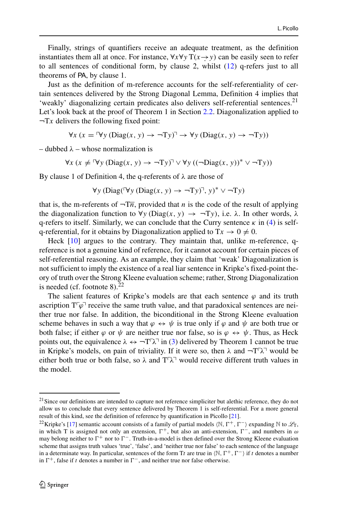Finally, strings of quantifiers receive an adequate treatment, as the definition instantiates them all at once. For instance,  $\forall x \forall y T(x \rightarrow y)$  can be easily seen to refer to all sentences of conditional form, by clause 2, whilst  $(12)$  q-refers just to all theorems of PA, by clause 1.

Just as the definition of m-reference accounts for the self-referentiality of certain sentences delivered by the Strong Diagonal Lemma, Definition 4 implies that 'weakly' diagonalizing certain predicates also delivers self-referential sentences[.21](#page-15-0) Let's look back at the proof of Theorem 1 in Section [2.2.](#page-2-3) Diagonalization applied to  $\neg Tx$  delivers the following fixed point:

 $\forall x (x = \forall y (Diag(x, y) \rightarrow \neg Ty) \rightarrow \forall y (Diag(x, y) \rightarrow \neg Ty))$ 

– dubbed *λ* – whose normalization is

$$
\forall x \ (x \neq \forall y \ (\text{Diag}(x, y) \rightarrow \neg Ty)^{\neg} \lor \forall y \ ((\neg \text{Diag}(x, y))^* \lor \neg Ty))
$$

By clause 1 of Definition 4, the q-referents of *λ* are those of

$$
\forall y \, (\text{Diag}(\forall y \, (\text{Diag}(x, y) \rightarrow \neg Ty)^{\top}, y)^* \vee \neg Ty)
$$

that is, the m-referents of  $\overline{-T}\overline{n}$ , provided that *n* is the code of the result of applying the diagonalization function to  $\forall y$  (Diag $(x, y) \rightarrow \neg Ty$ ), i.e.  $\lambda$ . In other words,  $\lambda$ q-refers to itself. Similarly, we can conclude that the Curry sentence *κ* in [\(4\)](#page-3-2) is selfq-referential, for it obtains by Diagonalization applied to  $Tx \to 0 \neq 0$ .

Heck [\[10\]](#page-20-7) argues to the contrary. They maintain that, unlike m-reference, qreference is not a genuine kind of reference, for it cannot account for certain pieces of self-referential reasoning. As an example, they claim that 'weak' Diagonalization is not sufficient to imply the existence of a real liar sentence in Kripke's fixed-point theory of truth over the Strong Kleene evaluation scheme; rather, Strong Diagonalization is needed (cf. footnote  $8$ ).<sup>[22](#page-15-1)</sup>

The salient features of Kripke's models are that each sentence  $\varphi$  and its truth ascription  $T^{\tau}\varphi$ <sup>-</sup> receive the same truth value, and that paradoxical sentences are neither true nor false. In addition, the biconditional in the Strong Kleene evaluation scheme behaves in such a way that  $\varphi \leftrightarrow \psi$  is true only if  $\varphi$  and  $\psi$  are both true or both false; if either  $\varphi$  or  $\psi$  are neither true nor false, so is  $\varphi \leftrightarrow \psi$ . Thus, as Heck points out, the equivalence  $\lambda \leftrightarrow \neg T \lambda^{\neg}$  in [\(3\)](#page-3-1) delivered by Theorem 1 cannot be true in Kripke's models, on pain of triviality. If it were so, then  $\lambda$  and  $\neg T \lambda$ <sup>-1</sup> would be either both true or both false, so  $\lambda$  and  $T^{\gamma}$  would receive different truth values in the model.

<span id="page-15-0"></span><sup>&</sup>lt;sup>21</sup> Since our definitions are intended to capture not reference simpliciter but alethic reference, they do not allow us to conclude that every sentence delivered by Theorem 1 is self-referential. For a more general result of this kind, see the definition of reference by quantification in Picollo [\[21\]](#page-20-1).

<span id="page-15-1"></span><sup>&</sup>lt;sup>22</sup>Kripke's [\[17\]](#page-20-20) semantic account consists of a family of partial models  $\langle N, \Gamma^+, \Gamma^- \rangle$  expanding N to  $\mathcal{L}_T$ , in which T is assigned not only an extension,  $\Gamma^+$ , but also an anti-extension,  $\Gamma^-$ , and numbers in  $\omega$ may belong neither to  $\Gamma^+$  nor to  $\Gamma^-$ . Truth-in-a-model is then defined over the Strong Kleene evaluation scheme that assigns truth values 'true', 'false', and 'neither true nor false' to each sentence of the language in a determinate way. In particular, sentences of the form Tt are true in  $\langle N, \Gamma^+, \Gamma^- \rangle$  if t denotes a number in  $\Gamma^+$ , false if *t* denotes a number in  $\Gamma^-$ , and neither true nor false otherwise.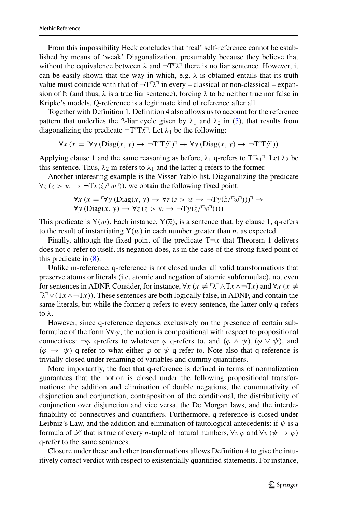From this impossibility Heck concludes that 'real' self-reference cannot be established by means of 'weak' Diagonalization, presumably because they believe that without the equivalence between  $\lambda$  and  $\neg T\lambda$ <sup> $\exists$ </sup> there is no liar sentence. However, it can be easily shown that the way in which, e.g.  $\lambda$  is obtained entails that its truth value must coincide with that of  $\neg T\lambda$ <sup> $\exists$ </sup> in every – classical or non-classical – expansion of N (and thus,  $\lambda$  is a true liar sentence), forcing  $\lambda$  to be neither true nor false in Kripke's models. Q-reference is a legitimate kind of reference after all.

Together with Definition 1, Definition 4 also allows us to account for the reference pattern that underlies the 2-liar cycle given by  $\lambda_1$  and  $\lambda_2$  in [\(5\)](#page-3-3), that results from diagonalizing the predicate  $\neg T^T \overrightarrow{x}$ . Let  $\lambda_1$  be the following:

$$
\forall x (x = \forall y (Diag(x, y) \rightarrow \neg T\mathsf{T} \mathbf{T} \mathbf{y}^{\mathsf{T}})^{\mathsf{T}} \rightarrow \forall y (Diag(x, y) \rightarrow \neg T\mathsf{T} \mathbf{T} \mathbf{y}^{\mathsf{T}}))
$$

Applying clause 1 and the same reasoning as before,  $\lambda_1$  q-refers to  $T \lambda_1$ <sup>-</sup>. Let  $\lambda_2$  be this sentence. Thus,  $\lambda_2$  m-refers to  $\lambda_1$  and the latter q-refers to the former.

Another interesting example is the Visser-Yablo list. Diagonalizing the predicate  $\forall z (z > w \rightarrow \neg Tx(\dot{z}/\sqrt{w}))$ , we obtain the following fixed point:

$$
\forall x (x = \forall y (Diag(x, y) \rightarrow \forall z (z > w \rightarrow \neg Ty(\dot{z}/\neg w \neg))) \rightarrow \forall y (Diag(x, y) \rightarrow \forall z (z > w \rightarrow \neg Ty(\dot{z}/\neg w \neg)))
$$

This predicate is  $Y(w)$ . Each instance,  $Y(\overline{n})$ , is a sentence that, by clause 1, q-refers to the result of instantiating  $Y(w)$  in each number greater than *n*, as expected.

Finally, although the fixed point of the predicate  $T-x$  that Theorem 1 delivers does not q-refer to itself, its negation does, as in the case of the strong fixed point of this predicate in [\(8\)](#page-8-2).

Unlike m-reference, q-reference is not closed under all valid transformations that preserve atoms or literals (i.e. atomic and negation of atomic subformulae), not even for sentences in ADNF. Consider, for instance,  $\forall x$  ( $x \neq \neg \lambda \neg \neg \lambda$ T $x \land \neg \neg \text{T}x$ ) and  $\forall x$  ( $x \neq \neg \lambda$ -*λ*∨*(*T*x*∧¬T*x))*. These sentences are both logically false, in ADNF, and contain the same literals, but while the former q-refers to every sentence, the latter only q-refers to *λ*.

However, since q-reference depends exclusively on the presence of certain subformulae of the form  $\forall v \varphi$ , the notion is compositional with respect to propositional connectives:  $\neg \varphi$  q-refers to whatever  $\varphi$  q-refers to, and  $(\varphi \land \psi)$ ,  $(\varphi \lor \psi)$ , and  $(\varphi \rightarrow \psi)$  q-refer to what either  $\varphi$  or  $\psi$  q-refer to. Note also that q-reference is trivially closed under renaming of variables and dummy quantifiers.

More importantly, the fact that q-reference is defined in terms of normalization guarantees that the notion is closed under the following propositional transformations: the addition and elimination of double negations, the commutativity of disjunction and conjunction, contraposition of the conditional, the distributivity of conjunction over disjunction and vice versa, the De Morgan laws, and the interdefinability of connectives and quantifiers. Furthermore, q-reference is closed under Leibniz's Law, and the addition and elimination of tautological antecedents: if  $\psi$  is a formula of L that is true of every *n*-tuple of natural numbers,  $\forall v \varphi$  and  $\forall v (\psi \rightarrow \varphi)$ q-refer to the same sentences.

Closure under these and other transformations allows Definition 4 to give the intuitively correct verdict with respect to existentially quantified statements. For instance,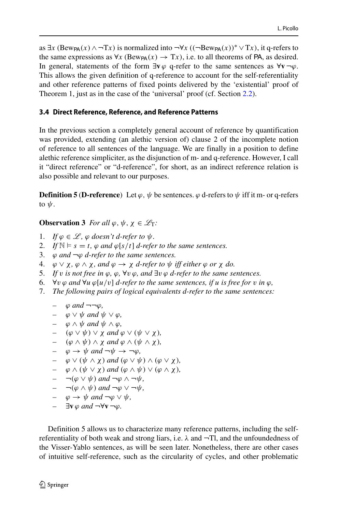as  $\exists x$  (Bew<sub>PA</sub>(x) ∧  $\neg$ Tx) is normalized into  $\neg$ ∀x (( $\neg$ Bew<sub>PA</sub>(x))<sup>\*</sup> ∨Tx), it q-refers to the same expressions as  $\forall x$  (Bew<sub>PA</sub> $(x) \rightarrow Tx$ ), i.e. to all theorems of PA, as desired. In general, statements of the form  $\exists$ **v** $\varphi$  q-refer to the same sentences as  $\forall$ **v** $\neg$  $\varphi$ . This allows the given definition of q-reference to account for the self-referentiality and other reference patterns of fixed points delivered by the 'existential' proof of Theorem 1, just as in the case of the 'universal' proof (cf. Section [2.2\)](#page-2-3).

## **3.4 Direct Reference, Reference, and Reference Patterns**

In the previous section a completely general account of reference by quantification was provided, extending (an alethic version of) clause 2 of the incomplete notion of reference to all sentences of the language. We are finally in a position to define alethic reference simpliciter, as the disjunction of m- and q-reference. However, I call it "direct reference" or "d-reference", for short, as an indirect reference relation is also possible and relevant to our purposes.

**Definition 5** (**D-reference**) Let  $\varphi$ ,  $\psi$  be sentences.  $\varphi$  d-refers to  $\psi$  iff it m- or q-refers to *ψ*.

**Observation 3** *For all*  $\varphi, \psi, \chi \in \mathcal{L}_T$ *:* 

- 1. *If*  $\varphi \in \mathcal{L}$ ,  $\varphi$  doesn't d-refer to  $\psi$ .
- 2. *If*  $\mathbb{N} \models s = t$ ,  $\varphi$  *and*  $\varphi[s/t]$  *d-refer to the same sentences.*
- 3. *ϕ and* ¬*ϕ d-refer to the same sentences.*
- 4. *ϕ* ∨ *χ, ϕ* ∧ *χ, and ϕ* → *χ d-refer to ψ iff either ϕ or χ do.*
- 5. *If v is not free in ϕ, ϕ,* ∀*v ϕ, and* ∃*v ϕ d-refer to the same sentences.*
- 6.  $\forall v \varphi$  and  $\forall u \varphi[u/v]$  *d-refer to the same sentences, if u is free for v in*  $\varphi$ *,*
- 7. *The following pairs of logical equivalents d-refer to the same sentences:*

$$
-\quad \varphi\ and\ \lnot\lnot\varphi,
$$

- *– ϕ* ∨ *ψ and ψ* ∨ *ϕ,*
- $\varphi \wedge \psi$  and  $\psi \wedge \varphi$ ,
- *–*  $(\varphi \lor \psi) \lor \chi$  *and*  $\varphi \lor (\psi \lor \chi)$ ,<br> *–*  $(\varphi \land \psi) \land \chi$  *and*  $\varphi \land (\psi \land \chi)$
- $(\varphi \wedge \psi) \wedge \chi$  *and*  $\varphi \wedge (\psi \wedge \chi)$ *,*
- $\varphi \to \psi$  and  $\neg \psi \to \neg \varphi$ ,
- $\varphi \vee (\psi \wedge \chi)$  *and*  $(\varphi \vee \psi) \wedge (\varphi \vee \chi)$ *,*
- *– ϕ* ∧ *(ψ* ∨ *χ ) and (ϕ* ∧ *ψ)* ∨ *(ϕ* ∧ *χ ),*
- $\neg$ ( $\varphi \lor \psi$ ) and  $\neg$  $\varphi \land \neg \psi$ ,
- $\neg$   $(\varphi \wedge \psi)$  and  $\neg$  $\varphi \vee \neg \psi$ ,
- *– ϕ* → *ψ and* ¬*ϕ* ∨ *ψ,*
- *–* ∃**v** *ϕ and* ¬∀**v** ¬*ϕ.*

Definition 5 allows us to characterize many reference patterns, including the selfreferentiality of both weak and strong liars, i.e.  $\lambda$  and  $\neg$ Tl, and the unfoundedness of the Visser-Yablo sentences, as will be seen later. Nonetheless, there are other cases of intuitive self-reference, such as the circularity of cycles, and other problematic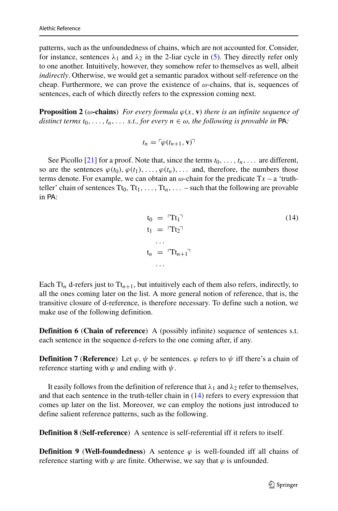patterns, such as the unfoundedness of chains, which are not accounted for. Consider, for instance, sentences  $\lambda_1$  and  $\lambda_2$  in the 2-liar cycle in [\(5\)](#page-3-3). They directly refer only to one another. Intuitively, however, they somehow refer to themselves as well, albeit *indirectly*. Otherwise, we would get a semantic paradox without self-reference on the cheap. Furthermore, we can prove the existence of *ω*-chains, that is, sequences of sentences, each of which directly refers to the expression coming next.

**Proposition 2** ( $\omega$ **-chains**) *For every formula*  $\varphi(x, v)$  *there is an infinite sequence of distinct terms*  $t_0, \ldots, t_n, \ldots$  *s.t., for every*  $n \in \omega$ *, the following is provable in* PA:

$$
t_n = \lceil \varphi(t_{n+1}, \mathbf{v}) \rceil
$$

See Picollo [\[21\]](#page-20-1) for a proof. Note that, since the terms  $t_0, \ldots, t_n, \ldots$  are different, so are the sentences  $\varphi(t_0), \varphi(t_1), \ldots, \varphi(t_n), \ldots$  and, therefore, the numbers those terms denote. For example, we can obtain an  $\omega$ -chain for the predicate  $Tx - a$  'truthteller' chain of sentences  $Tt_0, Tt_1, \ldots, Tt_n, \ldots$  – such that the following are provable in PA:

<span id="page-18-0"></span>
$$
t_0 = {}^{r}Tt_1
$$
\n
$$
t_1 = {}^{r}Tt_2
$$
\n
$$
\dots
$$
\n
$$
t_n = {}^{r}Tt_{n+1}
$$
\n
$$
\dots
$$
\n
$$
(14)
$$

Each  $Tt_n$  d-refers just to  $Tt_{n+1}$ , but intuitively each of them also refers, indirectly, to all the ones coming later on the list. A more general notion of reference, that is, the transitive closure of d-reference, is therefore necessary. To define such a notion, we make use of the following definition.

**Definition 6** (**Chain of reference**) A (possibly infinite) sequence of sentences s.t. each sentence in the sequence d-refers to the one coming after, if any.

**Definition 7** (**Reference**) Let  $\varphi$ ,  $\psi$  be sentences.  $\varphi$  refers to  $\psi$  iff there's a chain of reference starting with  $\varphi$  and ending with  $\psi$ .

It easily follows from the definition of reference that  $\lambda_1$  and  $\lambda_2$  refer to themselves, and that each sentence in the truth-teller chain in  $(14)$  refers to every expression that comes up later on the list. Moreover, we can employ the notions just introduced to define salient reference patterns, such as the following.

**Definition 8** (**Self-reference**) A sentence is self-referential iff it refers to itself.

**Definition 9** (**Well-foundedness**) A sentence  $\varphi$  is well-founded iff all chains of reference starting with  $\varphi$  are finite. Otherwise, we say that  $\varphi$  is unfounded.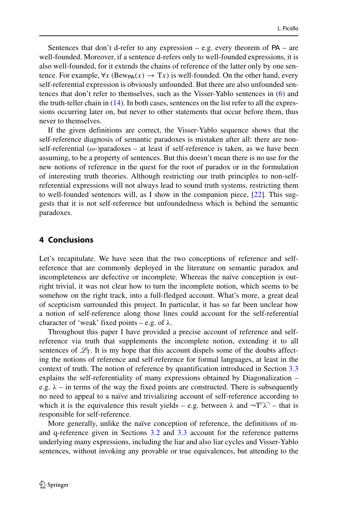Sentences that don't d-refer to any expression  $-$  e.g. every theorem of  $PA$  – are well-founded. Moreover, if a sentence d-refers only to well-founded expressions, it is also well-founded, for it extends the chains of reference of the latter only by one sentence. For example,  $\forall x$  (Bew<sub>PA</sub> $(x) \rightarrow Tx$ ) is well-founded. On the other hand, every self-referential expression is obviously unfounded. But there are also unfounded sentences that don't refer to themselves, such as the Visser-Yablo sentences in [\(6\)](#page-4-3) and the truth-teller chain in [\(14\)](#page-18-0). In both cases, sentences on the list refer to all the expressions occurring later on, but never to other statements that occur before them, thus never to themselves.

If the given definitions are correct, the Visser-Yablo sequence shows that the self-reference diagnosis of semantic paradoxes is mistaken after all: there are nonself-referential ( $\omega$ -)paradoxes – at least if self-reference is taken, as we have been assuming, to be a property of sentences. But this doesn't mean there is no use for the new notions of reference in the quest for the root of paradox or in the formulation of interesting truth theories. Although restricting our truth principles to non-selfreferential expressions will not always lead to sound truth systems, restricting them to well-founded sentences will, as I show in the companion piece, [\[22\]](#page-21-1). This suggests that it is not self-reference but unfoundedness which is behind the semantic paradoxes.

## <span id="page-19-0"></span>**4 Conclusions**

Let's recapitulate. We have seen that the two conceptions of reference and selfreference that are commonly deployed in the literature on semantic paradox and incompleteness are defective or incomplete. Whereas the naïve conception is outright trivial, it was not clear how to turn the incomplete notion, which seems to be somehow on the right track, into a full-fledged account. What's more, a great deal of scepticism surrounded this project. In particular, it has so far been unclear how a notion of self-reference along those lines could account for the self-referential character of 'weak' fixed points – e.g. of *λ*.

Throughout this paper I have provided a precise account of reference and selfreference via truth that supplements the incomplete notion, extending it to all sentences of  $\mathcal{L}_T$ . It is my hope that this account dispels some of the doubts affecting the notions of reference and self-reference for formal languages, at least in the context of truth. The notion of reference by quantification introduced in Section [3.3](#page-9-2) explains the self-referentiality of many expressions obtained by Diagonalization – e.g.  $\lambda$  – in terms of the way the fixed points are constructed. There is subsequently no need to appeal to a naïve and trivializing account of self-reference according to which it is the equivalence this result yields – e.g. between  $\lambda$  and  $\neg T^T \lambda^T$  – that is responsible for self-reference.

More generally, unlike the naïve conception of reference, the definitions of mand q-reference given in Sections [3.2](#page-7-4) and [3.3](#page-9-2) account for the reference patterns underlying many expressions, including the liar and also liar cycles and Visser-Yablo sentences, without invoking any provable or true equivalences, but attending to the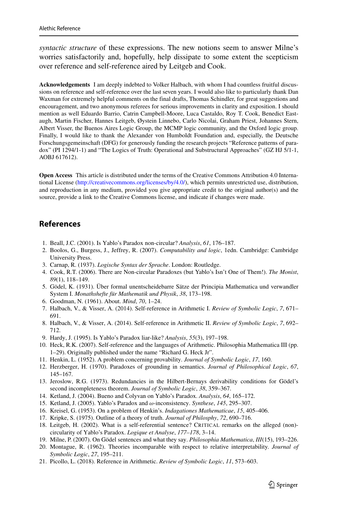*syntactic structure* of these expressions. The new notions seem to answer Milne's worries satisfactorily and, hopefully, help dissipate to some extent the scepticism over reference and self-reference aired by Leitgeb and Cook.

**Acknowledgements** I am deeply indebted to Volker Halbach, with whom I had countless fruitful discussions on reference and self-reference over the last seven years. I would also like to particularly thank Dan Waxman for extremely helpful comments on the final drafts, Thomas Schindler, for great suggestions and encouragement, and two anonymous referees for serious improvements in clarity and exposition. I should mention as well Eduardo Barrio, Catrin Campbell-Moore, Luca Castaldo, Roy T. Cook, Benedict Eastaugh, Martin Fischer, Hannes Leitgeb, Øystein Linnebo, Carlo Nicolai, Graham Priest, Johannes Stern, Albert Visser, the Buenos Aires Logic Group, the MCMP logic community, and the Oxford logic group. Finally, I would like to thank the Alexander von Humboldt Foundation and, especially, the Deutsche Forschungsgemeinschaft (DFG) for generously funding the research projects "Reference patterns of paradox" (PI 1294/1-1) and "The Logics of Truth: Operational and Substructural Approaches" (GZ HJ 5/1-1, AOBJ 617612).

**Open Access** This article is distributed under the terms of the Creative Commons Attribution 4.0 International License [\(http://creativecommons.org/licenses/by/4.0/\)](http://creativecommons.org/licenses/by/4.0/), which permits unrestricted use, distribution, and reproduction in any medium, provided you give appropriate credit to the original author(s) and the source, provide a link to the Creative Commons license, and indicate if changes were made.

# **References**

- <span id="page-20-13"></span>1. Beall, J.C. (2001). Is Yablo's Paradox non-circular? *Analysis*, *61*, 176–187.
- <span id="page-20-19"></span>2. Boolos, G., Burgess, J., Jeffrey, R. (2007). *Computability and logic*, 1edn. Cambridge: Cambridge University Press.
- <span id="page-20-9"></span>3. Carnap, R. (1937). *Logische Syntax der Sprache*. London: Routledge.
- <span id="page-20-4"></span>4. Cook, R.T. (2006). There are Non-circular Paradoxes (but Yablo's Isn't One of Them!). *The Monist*, *89*(1), 118–149.
- <span id="page-20-0"></span>5. Gödel, K. (1931). Über formal unentscheidebarre Sätze der Principia Mathematica und verwandler System I. Monathshefte für Mathematik und Physik, 38, 173-198.
- <span id="page-20-15"></span>6. Goodman, N. (1961). About. *Mind*, *70*, 1–24.
- <span id="page-20-5"></span>7. Halbach, V., & Visser, A. (2014). Self-reference in Arithmetic I. *Review of Symbolic Logic*, *7*, 671– 691.
- <span id="page-20-6"></span>8. Halbach, V., & Visser, A. (2014). Self-reference in Arithmetic II. *Review of Symbolic Logic*, *7*, 692– 712.
- <span id="page-20-10"></span>9. Hardy, J. (1995). Is Yablo's Paradox liar-like? *Analysis*, *55*(3), 197–198.
- <span id="page-20-7"></span>10. Heck, R.K. (2007). Self-reference and the languages of Arithmetic. Philosophia Mathematica III (pp. 1–29). Originally published under the name "Richard G. Heck Jr".
- <span id="page-20-17"></span>11. Henkin, L. (1952). A problem concerning provability. *Journal of Symbolic Logic*, *17*, 160.
- <span id="page-20-2"></span>12. Herzberger, H. (1970). Paradoxes of grounding in semantics. *Journal of Philosophical Logic*, *67*, 145–167.
- <span id="page-20-16"></span>13. Jeroslow, R.G. (1973). Redundancies in the Hilbert-Bernays derivability conditions for Gödel's second incompleteness theorem. *Journal of Symbolic Logic*, *38*, 359–367.
- <span id="page-20-11"></span>14. Ketland, J. (2004). Bueno and Colyvan on Yablo's Paradox. *Analysis*, *64*, 165–172.
- <span id="page-20-12"></span>15. Ketland, J. (2005). Yablo's Paradox and *ω*-inconsistency. *Synthese*, *145*, 295–307.
- <span id="page-20-18"></span>16. Kreisel, G. (1953). On a problem of Henkin's. *Indagationes Mathematicae*, *15*, 405–406.
- <span id="page-20-20"></span>17. Kripke, S. (1975). Outline of a theory of truth. *Journal of Philosphy*, *72*, 690–716.
- <span id="page-20-3"></span>18. Leitgeb, H. (2002). What is a self-referential sentence? CRITICAL remarks on the alleged (non) circularity of Yablo's Paradox. *Logique et Analyse*, *177–178*, 3–14.
- <span id="page-20-14"></span>19. Milne, P. (2007). On Gödel sentences and what they say. *Philosophia Mathematica*, *III*(15), 193-226.
- <span id="page-20-8"></span>20. Montague, R. (1962). Theories incomparable with respect to relative interpretability. *Journal of Symbolic Logic*, *27*, 195–211.
- <span id="page-20-1"></span>21. Picollo, L. (2018). Reference in Arithmetic. *Review of Symbolic Logic*, *11*, 573–603.